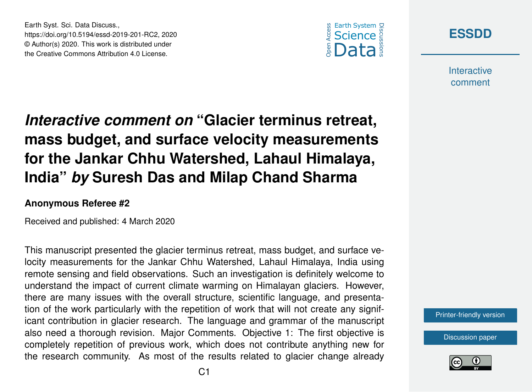



**Interactive** comment

## *Interactive comment on* **"Glacier terminus retreat, mass budget, and surface velocity measurements for the Jankar Chhu Watershed, Lahaul Himalaya, India"** *by* **Suresh Das and Milap Chand Sharma**

## **Anonymous Referee #2**

Earth Syst. Sci. Data Discuss.,

https://doi.org/10.5194/essd-2019-201-RC2, 2020 © Author(s) 2020. This work is distributed under the Creative Commons Attribution 4.0 License.

Received and published: 4 March 2020

This manuscript presented the glacier terminus retreat, mass budget, and surface velocity measurements for the Jankar Chhu Watershed, Lahaul Himalaya, India using remote sensing and field observations. Such an investigation is definitely welcome to understand the impact of current climate warming on Himalayan glaciers. However, there are many issues with the overall structure, scientific language, and presentation of the work particularly with the repetition of work that will not create any significant contribution in glacier research. The language and grammar of the manuscript also need a thorough revision. Major Comments. Objective 1: The first objective is completely repetition of previous work, which does not contribute anything new for the research community. As most of the results related to glacier change already



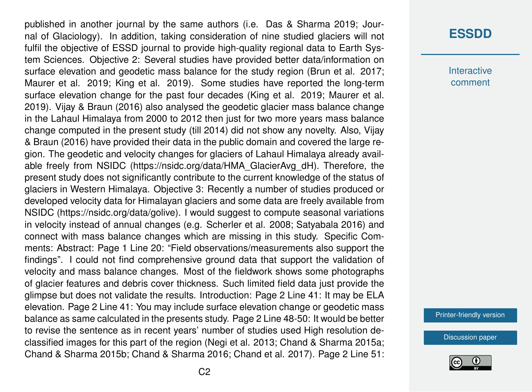published in another journal by the same authors (i.e. Das & Sharma 2019; Journal of Glaciology). In addition, taking consideration of nine studied glaciers will not fulfil the objective of ESSD journal to provide high-quality regional data to Earth System Sciences. Objective 2: Several studies have provided better data/information on surface elevation and geodetic mass balance for the study region (Brun et al. 2017; Maurer et al. 2019; King et al. 2019). Some studies have reported the long-term surface elevation change for the past four decades (King et al. 2019; Maurer et al. 2019). Vijay & Braun (2016) also analysed the geodetic glacier mass balance change in the Lahaul Himalaya from 2000 to 2012 then just for two more years mass balance change computed in the present study (till 2014) did not show any novelty. Also, Vijay & Braun (2016) have provided their data in the public domain and covered the large region. The geodetic and velocity changes for glaciers of Lahaul Himalaya already available freely from NSIDC (https://nsidc.org/data/HMA\_GlacierAvg\_dH). Therefore, the present study does not significantly contribute to the current knowledge of the status of glaciers in Western Himalaya. Objective 3: Recently a number of studies produced or developed velocity data for Himalayan glaciers and some data are freely available from NSIDC (https://nsidc.org/data/golive). I would suggest to compute seasonal variations in velocity instead of annual changes (e.g. Scherler et al. 2008; Satyabala 2016) and connect with mass balance changes which are missing in this study. Specific Comments: Abstract: Page 1 Line 20: "Field observations/measurements also support the findings". I could not find comprehensive ground data that support the validation of velocity and mass balance changes. Most of the fieldwork shows some photographs of glacier features and debris cover thickness. Such limited field data just provide the glimpse but does not validate the results. Introduction: Page 2 Line 41: It may be ELA elevation. Page 2 Line 41: You may include surface elevation change or geodetic mass balance as same calculated in the presents study. Page 2 Line 48-50: It would be better to revise the sentence as in recent years' number of studies used High resolution declassified images for this part of the region (Negi et al. 2013; Chand & Sharma 2015a; Chand & Sharma 2015b; Chand & Sharma 2016; Chand et al. 2017). Page 2 Line 51:

**Interactive** comment

[Printer-friendly version](https://www.earth-syst-sci-data-discuss.net/essd-2019-201/essd-2019-201-RC2-print.pdf)

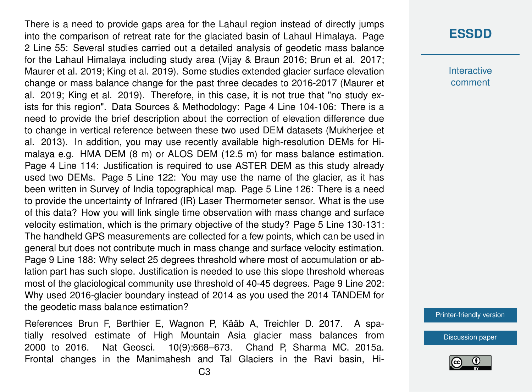There is a need to provide gaps area for the Lahaul region instead of directly jumps into the comparison of retreat rate for the glaciated basin of Lahaul Himalaya. Page 2 Line 55: Several studies carried out a detailed analysis of geodetic mass balance for the Lahaul Himalaya including study area (Vijay & Braun 2016; Brun et al. 2017; Maurer et al. 2019; King et al. 2019). Some studies extended glacier surface elevation change or mass balance change for the past three decades to 2016-2017 (Maurer et al. 2019; King et al. 2019). Therefore, in this case, it is not true that "no study exists for this region". Data Sources & Methodology: Page 4 Line 104-106: There is a need to provide the brief description about the correction of elevation difference due to change in vertical reference between these two used DEM datasets (Mukherjee et al. 2013). In addition, you may use recently available high-resolution DEMs for Himalaya e.g. HMA DEM (8 m) or ALOS DEM (12.5 m) for mass balance estimation. Page 4 Line 114: Justification is required to use ASTER DEM as this study already used two DEMs. Page 5 Line 122: You may use the name of the glacier, as it has been written in Survey of India topographical map. Page 5 Line 126: There is a need to provide the uncertainty of Infrared (IR) Laser Thermometer sensor. What is the use of this data? How you will link single time observation with mass change and surface velocity estimation, which is the primary objective of the study? Page 5 Line 130-131: The handheld GPS measurements are collected for a few points, which can be used in general but does not contribute much in mass change and surface velocity estimation. Page 9 Line 188: Why select 25 degrees threshold where most of accumulation or ablation part has such slope. Justification is needed to use this slope threshold whereas most of the glaciological community use threshold of 40-45 degrees. Page 9 Line 202: Why used 2016-glacier boundary instead of 2014 as you used the 2014 TANDEM for the geodetic mass balance estimation?

References Brun F, Berthier E, Wagnon P, Kääb A, Treichler D. 2017. A spatially resolved estimate of High Mountain Asia glacier mass balances from 2000 to 2016. Nat Geosci. 10(9):668–673. Chand P, Sharma MC. 2015a. Frontal changes in the Manimahesh and Tal Glaciers in the Ravi basin, Hi-

## **[ESSDD](https://www.earth-syst-sci-data-discuss.net/)**

**Interactive** comment

[Printer-friendly version](https://www.earth-syst-sci-data-discuss.net/essd-2019-201/essd-2019-201-RC2-print.pdf)

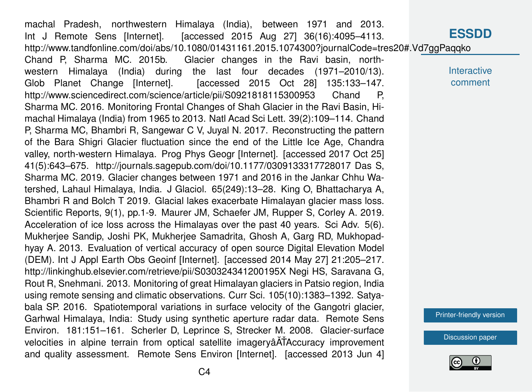**[ESSDD](https://www.earth-syst-sci-data-discuss.net/) Interactive** comment [Printer-friendly version](https://www.earth-syst-sci-data-discuss.net/essd-2019-201/essd-2019-201-RC2-print.pdf) [Discussion paper](https://www.earth-syst-sci-data-discuss.net/essd-2019-201) machal Pradesh, northwestern Himalaya (India), between 1971 and 2013. Int J Remote Sens [Internet]. [accessed 2015 Aug 27] 36(16):4095–4113. http://www.tandfonline.com/doi/abs/10.1080/01431161.2015.1074300?journalCode=tres20#.Vd7ggPaqqko Chand P, Sharma MC. 2015b. Glacier changes in the Ravi basin, northwestern Himalaya (India) during the last four decades (1971–2010/13). Glob Planet Change [Internet]. [accessed 2015 Oct 28] 135:133-147. http://www.sciencedirect.com/science/article/pii/S0921818115300953 Chand P, Sharma MC. 2016. Monitoring Frontal Changes of Shah Glacier in the Ravi Basin, Himachal Himalaya (India) from 1965 to 2013. Natl Acad Sci Lett. 39(2):109–114. Chand P, Sharma MC, Bhambri R, Sangewar C V, Juyal N. 2017. Reconstructing the pattern of the Bara Shigri Glacier fluctuation since the end of the Little Ice Age, Chandra valley, north-western Himalaya. Prog Phys Geogr [Internet]. [accessed 2017 Oct 25] 41(5):643–675. http://journals.sagepub.com/doi/10.1177/0309133317728017 Das S, Sharma MC. 2019. Glacier changes between 1971 and 2016 in the Jankar Chhu Watershed, Lahaul Himalaya, India. J Glaciol. 65(249):13–28. King O, Bhattacharya A, Bhambri R and Bolch T 2019. Glacial lakes exacerbate Himalayan glacier mass loss. Scientific Reports, 9(1), pp.1-9. Maurer JM, Schaefer JM, Rupper S, Corley A. 2019. Acceleration of ice loss across the Himalayas over the past 40 years. Sci Adv. 5(6). Mukherjee Sandip, Joshi PK, Mukherjee Samadrita, Ghosh A, Garg RD, Mukhopadhyay A. 2013. Evaluation of vertical accuracy of open source Digital Elevation Model (DEM). Int J Appl Earth Obs Geoinf [Internet]. [accessed 2014 May 27] 21:205–217. http://linkinghub.elsevier.com/retrieve/pii/S030324341200195X Negi HS, Saravana G, Rout R, Snehmani. 2013. Monitoring of great Himalayan glaciers in Patsio region, India using remote sensing and climatic observations. Curr Sci. 105(10):1383–1392. Satyabala SP. 2016. Spatiotemporal variations in surface velocity of the Gangotri glacier, Garhwal Himalaya, India: Study using synthetic aperture radar data. Remote Sens Environ. 181:151–161. Scherler D, Leprince S, Strecker M. 2008. Glacier-surface velocities in alpine terrain from optical satellite imagery a ATA ccuracy improvement and quality assessment. Remote Sens Environ [Internet]. [accessed 2013 Jun 4]